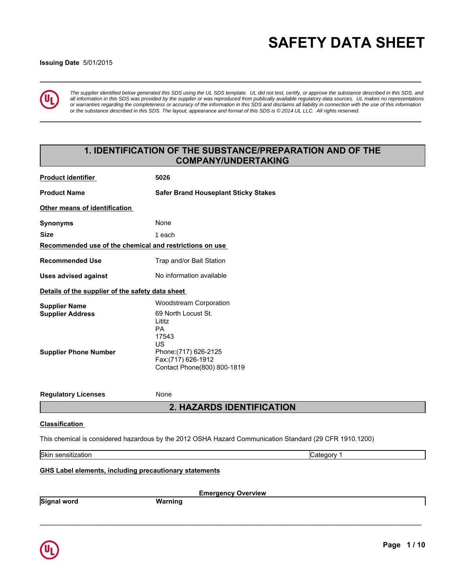# **\_\_\_\_\_\_\_\_\_\_\_\_\_\_\_\_\_\_\_\_\_\_\_\_\_\_\_\_\_\_\_\_\_\_\_\_\_\_\_\_\_\_\_\_\_\_\_\_\_\_\_\_\_\_\_\_\_\_\_\_\_\_\_\_\_\_\_\_\_\_\_\_\_\_\_\_\_\_\_\_\_\_\_\_\_\_\_\_\_\_\_\_\_ SAFETY DATA SHEET**

### **Issuing Date** 5/01/2015



*The supplier identified below generated this SDS using the UL SDS template. UL did not test, certify, or approve the substance described in this SDS, and all information in this SDS was provided by the supplier or was reproduced from publically available regulatory data sources. UL makes no representations or warranties regarding the completeness or accuracy of the information in this SDS and disclaims all liability in connection with the use of this information or the substance described in this SDS. The layout, appearance and format of this SDS is © 2014 UL LLC. All rights reserved.*

**\_\_\_\_\_\_\_\_\_\_\_\_\_\_\_\_\_\_\_\_\_\_\_\_\_\_\_\_\_\_\_\_\_\_\_\_\_\_\_\_\_\_\_\_\_\_\_\_\_\_\_\_\_\_\_\_\_\_\_\_\_\_\_\_\_\_\_\_\_\_\_\_\_\_\_\_\_\_\_\_\_\_\_\_\_\_\_\_\_\_\_\_\_**

# **1. IDENTIFICATION OF THE SUBSTANCE/PREPARATION AND OF THE COMPANY/UNDERTAKING**

| <b>Product identifier</b>                                                       | 5026                                                                                                                                                                     |  |  |  |
|---------------------------------------------------------------------------------|--------------------------------------------------------------------------------------------------------------------------------------------------------------------------|--|--|--|
| <b>Product Name</b>                                                             | <b>Safer Brand Houseplant Sticky Stakes</b>                                                                                                                              |  |  |  |
| Other means of identification                                                   |                                                                                                                                                                          |  |  |  |
| <b>Synonyms</b>                                                                 | None                                                                                                                                                                     |  |  |  |
| <b>Size</b>                                                                     | 1 each                                                                                                                                                                   |  |  |  |
| Recommended use of the chemical and restrictions on use                         |                                                                                                                                                                          |  |  |  |
| <b>Recommended Use</b>                                                          | Trap and/or Bait Station                                                                                                                                                 |  |  |  |
| <b>Uses advised against</b>                                                     | No information available                                                                                                                                                 |  |  |  |
| Details of the supplier of the safety data sheet                                |                                                                                                                                                                          |  |  |  |
| <b>Supplier Name</b><br><b>Supplier Address</b><br><b>Supplier Phone Number</b> | <b>Woodstream Corporation</b><br>69 North Locust St.<br>Lititz<br><b>PA</b><br>17543<br>US<br>Phone: (717) 626-2125<br>Fax:(717) 626-1912<br>Contact Phone(800) 800-1819 |  |  |  |
| <b>Regulatory Licenses</b>                                                      | None                                                                                                                                                                     |  |  |  |
|                                                                                 | <b>2. HAZARDS IDENTIFICATION</b>                                                                                                                                         |  |  |  |
| <b>Classification</b>                                                           |                                                                                                                                                                          |  |  |  |
|                                                                                 | This chemical is considered hazardous by the 2012 OSHA Hazard Communication Standard (29 CFR 1910.1200)                                                                  |  |  |  |
| Skin sensitization                                                              | Category 1                                                                                                                                                               |  |  |  |
| <b>GHS Label elements, including precautionary statements</b>                   |                                                                                                                                                                          |  |  |  |

**Emergency Overview**

\_\_\_\_\_\_\_\_\_\_\_\_\_\_\_\_\_\_\_\_\_\_\_\_\_\_\_\_\_\_\_\_\_\_\_\_\_\_\_\_\_\_\_\_\_\_\_\_\_\_\_\_\_\_\_\_\_\_\_\_\_\_\_\_\_\_\_\_\_\_\_\_\_\_\_\_\_\_\_\_\_\_\_\_\_\_\_\_\_\_\_\_\_



**Signal word Warning**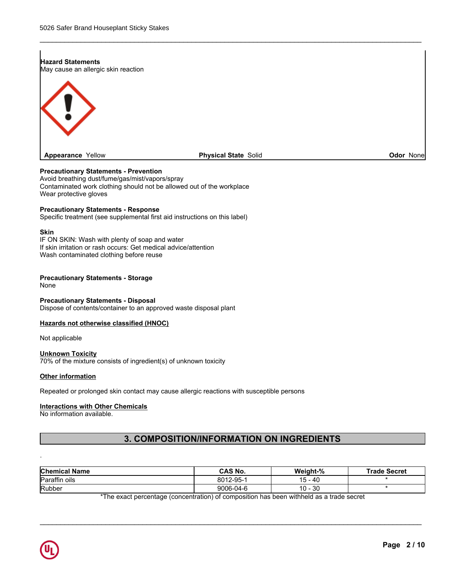# **Hazard Statements** May cause an allergic skin reaction **Appearance** Yellow

### **Physical State Solid Contract Contract Contract Contract Contract Contract Contract Contract Contract Contract Contract Contract Contract Contract Contract Contract Contract Contract Contract Contract Contract Contract Co**

\_\_\_\_\_\_\_\_\_\_\_\_\_\_\_\_\_\_\_\_\_\_\_\_\_\_\_\_\_\_\_\_\_\_\_\_\_\_\_\_\_\_\_\_\_\_\_\_\_\_\_\_\_\_\_\_\_\_\_\_\_\_\_\_\_\_\_\_\_\_\_\_\_\_\_\_\_\_\_\_\_\_\_\_\_\_\_\_\_\_\_\_\_

### **Precautionary Statements - Prevention**

Avoid breathing dust/fume/gas/mist/vapors/spray Contaminated work clothing should not be allowed out of the workplace Wear protective gloves

### **Precautionary Statements - Response**

Specific treatment (see supplemental first aid instructions on this label)

### **Skin**

IF ON SKIN: Wash with plenty of soap and water If skin irritation or rash occurs: Get medical advice/attention Wash contaminated clothing before reuse

### **Precautionary Statements - Storage**

None

### **Precautionary Statements - Disposal**

Dispose of contents/container to an approved waste disposal plant

### **Hazards not otherwise classified (HNOC)**

Not applicable

### **Unknown Toxicity**

70% of the mixture consists of ingredient(s) of unknown toxicity

### **Other information**

Repeated or prolonged skin contact may cause allergic reactions with susceptible persons

### **Interactions with Other Chemicals**

No information available.

# **3. COMPOSITION/INFORMATION ON INGREDIENTS**

| <b>Chemical Name</b>                         | CAS No.   | Weight-%                | <b>Trade Secret</b> |
|----------------------------------------------|-----------|-------------------------|---------------------|
| $\overline{\phantom{a}}$<br>Paraffin<br>oils | 8012-95-1 | 5 - 40<br><u>.</u><br>ີ |                     |
| Rubber                                       | 9006-04-6 | 10 - 30                 |                     |

\*The exact percentage (concentration) of composition has been withheld as a trade secret

 $\overline{\phantom{a}}$  , and the contribution of the contribution of the contribution of the contribution of the contribution of the contribution of the contribution of the contribution of the contribution of the contribution of the



.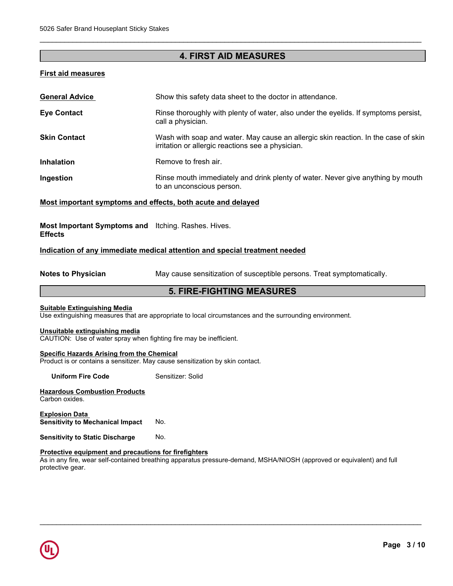# **4. FIRST AID MEASURES**

\_\_\_\_\_\_\_\_\_\_\_\_\_\_\_\_\_\_\_\_\_\_\_\_\_\_\_\_\_\_\_\_\_\_\_\_\_\_\_\_\_\_\_\_\_\_\_\_\_\_\_\_\_\_\_\_\_\_\_\_\_\_\_\_\_\_\_\_\_\_\_\_\_\_\_\_\_\_\_\_\_\_\_\_\_\_\_\_\_\_\_\_\_

### **First aid measures**

| <b>General Advice</b> | Show this safety data sheet to the doctor in attendance.                                                                                |
|-----------------------|-----------------------------------------------------------------------------------------------------------------------------------------|
| <b>Eye Contact</b>    | Rinse thoroughly with plenty of water, also under the eyelids. If symptoms persist,<br>call a physician.                                |
| <b>Skin Contact</b>   | Wash with soap and water. May cause an allergic skin reaction. In the case of skin<br>irritation or allergic reactions see a physician. |
| <b>Inhalation</b>     | Remove to fresh air.                                                                                                                    |
| Ingestion             | Rinse mouth immediately and drink plenty of water. Never give anything by mouth<br>to an unconscious person.                            |

### **Most important symptoms and effects, both acute and delayed**

**Most Important Symptoms and** Itching. Rashes. Hives. **Effects**

### **Indication of any immediate medical attention and special treatment needed**

**Notes to Physician** May cause sensitization of susceptible persons. Treat symptomatically.

\_\_\_\_\_\_\_\_\_\_\_\_\_\_\_\_\_\_\_\_\_\_\_\_\_\_\_\_\_\_\_\_\_\_\_\_\_\_\_\_\_\_\_\_\_\_\_\_\_\_\_\_\_\_\_\_\_\_\_\_\_\_\_\_\_\_\_\_\_\_\_\_\_\_\_\_\_\_\_\_\_\_\_\_\_\_\_\_\_\_\_\_\_

# **5. FIRE-FIGHTING MEASURES**

### **Suitable Extinguishing Media**

Use extinguishing measures that are appropriate to local circumstances and the surrounding environment.

### **Unsuitable extinguishing media**

CAUTION: Use of water spray when fighting fire may be inefficient.

### **Specific Hazards Arising from the Chemical**

Product is or contains a sensitizer. May cause sensitization by skin contact.

**Uniform Fire Code** Sensitizer: Solid

**Hazardous Combustion Products** Carbon oxides.

**Explosion Data Sensitivity to Mechanical Impact No.** 

**Sensitivity to Static Discharge No.** 

### **Protective equipment and precautions for firefighters**

As in any fire, wear self-contained breathing apparatus pressure-demand, MSHA/NIOSH (approved or equivalent) and full protective gear.

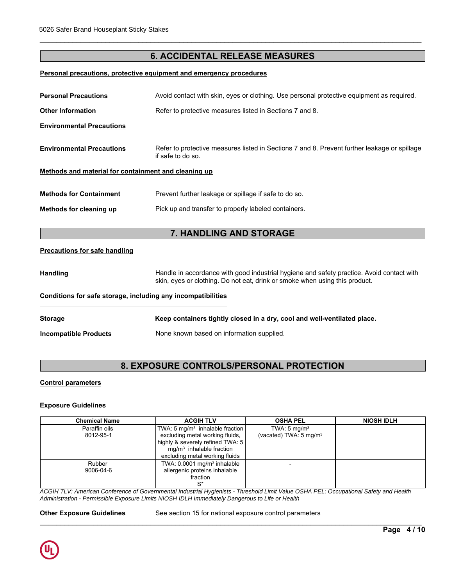# **6. ACCIDENTAL RELEASE MEASURES**

\_\_\_\_\_\_\_\_\_\_\_\_\_\_\_\_\_\_\_\_\_\_\_\_\_\_\_\_\_\_\_\_\_\_\_\_\_\_\_\_\_\_\_\_\_\_\_\_\_\_\_\_\_\_\_\_\_\_\_\_\_\_\_\_\_\_\_\_\_\_\_\_\_\_\_\_\_\_\_\_\_\_\_\_\_\_\_\_\_\_\_\_\_

### **Personal precautions, protective equipment and emergency procedures**

| <b>Personal Precautions</b><br>Avoid contact with skin, eyes or clothing. Use personal protective equipment as required.                              |                                                                                                                                                                          |  |  |  |  |
|-------------------------------------------------------------------------------------------------------------------------------------------------------|--------------------------------------------------------------------------------------------------------------------------------------------------------------------------|--|--|--|--|
| Refer to protective measures listed in Sections 7 and 8.<br><b>Other Information</b>                                                                  |                                                                                                                                                                          |  |  |  |  |
| <b>Environmental Precautions</b>                                                                                                                      |                                                                                                                                                                          |  |  |  |  |
| <b>Environmental Precautions</b><br>Refer to protective measures listed in Sections 7 and 8. Prevent further leakage or spillage<br>if safe to do so. |                                                                                                                                                                          |  |  |  |  |
| Methods and material for containment and cleaning up                                                                                                  |                                                                                                                                                                          |  |  |  |  |
| <b>Methods for Containment</b>                                                                                                                        | Prevent further leakage or spillage if safe to do so.                                                                                                                    |  |  |  |  |
| Methods for cleaning up                                                                                                                               | Pick up and transfer to properly labeled containers.                                                                                                                     |  |  |  |  |
|                                                                                                                                                       |                                                                                                                                                                          |  |  |  |  |
|                                                                                                                                                       | 7. HANDLING AND STORAGE                                                                                                                                                  |  |  |  |  |
| Precautions for safe handling                                                                                                                         |                                                                                                                                                                          |  |  |  |  |
| <b>Handling</b>                                                                                                                                       | Handle in accordance with good industrial hygiene and safety practice. Avoid contact with<br>skin, eyes or clothing. Do not eat, drink or smoke when using this product. |  |  |  |  |
| Conditions for safe storage, including any incompatibilities                                                                                          |                                                                                                                                                                          |  |  |  |  |
| <b>Storage</b>                                                                                                                                        | Keep containers tightly closed in a dry, cool and well-ventilated place.                                                                                                 |  |  |  |  |
| <b>Incompatible Products</b>                                                                                                                          | None known based on information supplied.                                                                                                                                |  |  |  |  |
|                                                                                                                                                       |                                                                                                                                                                          |  |  |  |  |

# **8. EXPOSURE CONTROLS/PERSONAL PROTECTION**

### **Control parameters**

### **Exposure Guidelines**

| <b>Chemical Name</b> | <b>ACGIH TLV</b>                                    | <b>OSHA PEL</b>                   | <b>NIOSH IDLH</b> |
|----------------------|-----------------------------------------------------|-----------------------------------|-------------------|
| Paraffin oils        | TWA: 5 mg/m <sup>3</sup> inhalable fraction $\vert$ | TWA: $5 \text{ mg/m}^3$           |                   |
| 8012-95-1            | excluding metal working fluids,                     | (vacated) TWA: $5 \text{ mg/m}^3$ |                   |
|                      | highly & severely refined TWA: 5                    |                                   |                   |
|                      | $mq/m3$ inhalable fraction                          |                                   |                   |
|                      | excluding metal working fluids                      |                                   |                   |
| Rubber               | TWA: $0.0001$ mg/m <sup>3</sup> inhalable           |                                   |                   |
| 9006-04-6            | allergenic proteins inhalable                       |                                   |                   |
|                      | fraction                                            |                                   |                   |
|                      | $S^*$                                               |                                   |                   |

*ACGIH TLV: American Conference of Governmental Industrial Hygienists - Threshold Limit Value OSHA PEL: Occupational Safety and Health Administration - Permissible Exposure Limits NIOSH IDLH Immediately Dangerous to Life or Health*

**Other Exposure Guidelines** See section 15 for national exposure control parameters

\_\_\_\_\_\_\_\_\_\_\_\_\_\_\_\_\_\_\_\_\_\_\_\_\_\_\_\_\_\_\_\_\_\_\_\_\_\_\_\_\_\_\_\_\_\_\_\_\_\_\_\_\_\_\_\_\_\_\_\_\_\_\_\_\_\_\_\_\_\_\_\_\_\_\_\_\_\_\_\_\_\_\_\_\_\_\_\_\_\_\_\_\_

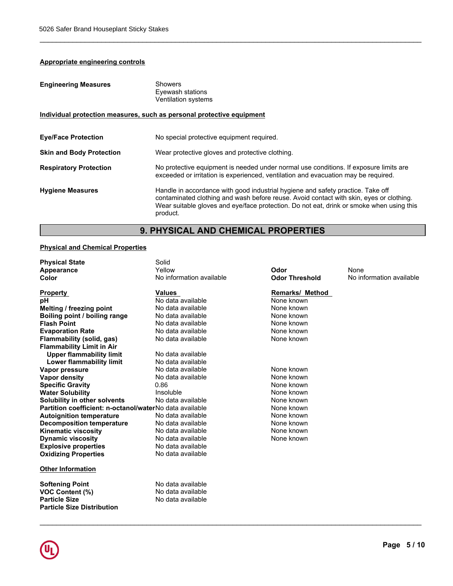# **Appropriate engineering controls**

| <b>Engineering Measures</b>     | <b>Showers</b><br>Eyewash stations<br>Ventilation systems                                                                                                                                                                                                                          |
|---------------------------------|------------------------------------------------------------------------------------------------------------------------------------------------------------------------------------------------------------------------------------------------------------------------------------|
|                                 | Individual protection measures, such as personal protective equipment                                                                                                                                                                                                              |
| <b>Eye/Face Protection</b>      | No special protective equipment required.                                                                                                                                                                                                                                          |
| <b>Skin and Body Protection</b> | Wear protective gloves and protective clothing.                                                                                                                                                                                                                                    |
| <b>Respiratory Protection</b>   | No protective equipment is needed under normal use conditions. If exposure limits are<br>exceeded or irritation is experienced, ventilation and evacuation may be required.                                                                                                        |
| <b>Hygiene Measures</b>         | Handle in accordance with good industrial hygiene and safety practice. Take off<br>contaminated clothing and wash before reuse. Avoid contact with skin, eyes or clothing.<br>Wear suitable gloves and eye/face protection. Do not eat, drink or smoke when using this<br>product. |

\_\_\_\_\_\_\_\_\_\_\_\_\_\_\_\_\_\_\_\_\_\_\_\_\_\_\_\_\_\_\_\_\_\_\_\_\_\_\_\_\_\_\_\_\_\_\_\_\_\_\_\_\_\_\_\_\_\_\_\_\_\_\_\_\_\_\_\_\_\_\_\_\_\_\_\_\_\_\_\_\_\_\_\_\_\_\_\_\_\_\_\_\_

# **9. PHYSICAL AND CHEMICAL PROPERTIES**

# **Physical and Chemical Properties**

| <b>Physical State</b>                                     | Solid                    |                        |                          |
|-----------------------------------------------------------|--------------------------|------------------------|--------------------------|
| Appearance                                                | Yellow                   | Odor                   | None                     |
| Color                                                     | No information available | <b>Odor Threshold</b>  | No information available |
| <b>Property</b>                                           | <b>Values</b>            | <b>Remarks/ Method</b> |                          |
| рH                                                        | No data available        | None known             |                          |
| Melting / freezing point                                  | No data available        | None known             |                          |
| Boiling point / boiling range                             | No data available        | None known             |                          |
| <b>Flash Point</b>                                        | No data available        | None known             |                          |
| <b>Evaporation Rate</b>                                   | No data available        | None known             |                          |
| Flammability (solid, gas)                                 | No data available        | None known             |                          |
| <b>Flammability Limit in Air</b>                          |                          |                        |                          |
| <b>Upper flammability limit</b>                           | No data available        |                        |                          |
| Lower flammability limit                                  | No data available        |                        |                          |
| Vapor pressure                                            | No data available        | None known             |                          |
| <b>Vapor density</b>                                      | No data available        | None known             |                          |
| <b>Specific Gravity</b>                                   | 0.86                     | None known             |                          |
| <b>Water Solubility</b>                                   | Insoluble                | None known             |                          |
| <b>Solubility in other solvents</b>                       | No data available        | None known             |                          |
| Partition coefficient: n-octanol/waterNo data available   |                          | None known             |                          |
| <b>Autoignition temperature</b>                           | No data available        | None known             |                          |
| <b>Decomposition temperature</b>                          | No data available        | None known             |                          |
| <b>Kinematic viscosity</b>                                | No data available        | None known             |                          |
| <b>Dynamic viscosity</b>                                  | No data available        | None known             |                          |
| <b>Explosive properties</b>                               | No data available        |                        |                          |
| <b>Oxidizing Properties</b>                               | No data available        |                        |                          |
| <b>Other Information</b>                                  |                          |                        |                          |
| <b>Softening Point</b>                                    | No data available        |                        |                          |
| <b>VOC Content (%)</b>                                    | No data available        |                        |                          |
| <b>Particle Size</b><br><b>Particle Size Distribution</b> | No data available        |                        |                          |
|                                                           |                          |                        |                          |

\_\_\_\_\_\_\_\_\_\_\_\_\_\_\_\_\_\_\_\_\_\_\_\_\_\_\_\_\_\_\_\_\_\_\_\_\_\_\_\_\_\_\_\_\_\_\_\_\_\_\_\_\_\_\_\_\_\_\_\_\_\_\_\_\_\_\_\_\_\_\_\_\_\_\_\_\_\_\_\_\_\_\_\_\_\_\_\_\_\_\_\_\_

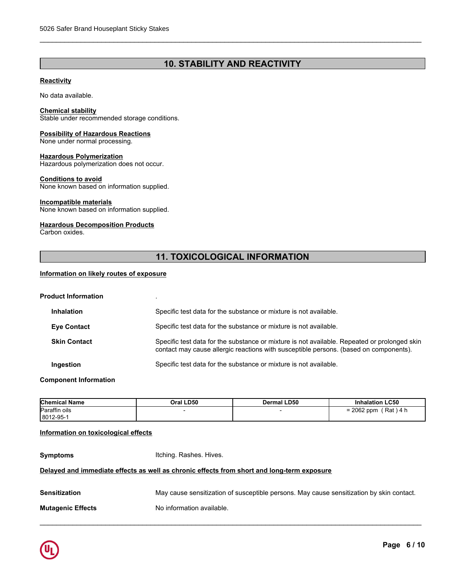# **10. STABILITY AND REACTIVITY**

\_\_\_\_\_\_\_\_\_\_\_\_\_\_\_\_\_\_\_\_\_\_\_\_\_\_\_\_\_\_\_\_\_\_\_\_\_\_\_\_\_\_\_\_\_\_\_\_\_\_\_\_\_\_\_\_\_\_\_\_\_\_\_\_\_\_\_\_\_\_\_\_\_\_\_\_\_\_\_\_\_\_\_\_\_\_\_\_\_\_\_\_\_

### **Reactivity**

No data available.

### **Chemical stability**

Stable under recommended storage conditions.

### **Possibility of Hazardous Reactions**

None under normal processing.

### **Hazardous Polymerization**

Hazardous polymerization does not occur.

### **Conditions to avoid**

None known based on information supplied.

### **Incompatible materials**

None known based on information supplied.

### **Hazardous Decomposition Products**

Carbon oxides.

# **11. TOXICOLOGICAL INFORMATION**

### **Information on likely routes of exposure**

| <b>Product Information</b> |                     |                                                                                                                                                                                       |
|----------------------------|---------------------|---------------------------------------------------------------------------------------------------------------------------------------------------------------------------------------|
|                            | <b>Inhalation</b>   | Specific test data for the substance or mixture is not available.                                                                                                                     |
|                            | <b>Eye Contact</b>  | Specific test data for the substance or mixture is not available.                                                                                                                     |
|                            | <b>Skin Contact</b> | Specific test data for the substance or mixture is not available. Repeated or prolonged skin<br>contact may cause allergic reactions with susceptible persons. (based on components). |
|                            | Ingestion           | Specific test data for the substance or mixture is not available.                                                                                                                     |
|                            |                     |                                                                                                                                                                                       |

### **Component Information**

| <b>Chemical Name</b> | Oral LD50 | Dermal LD50 | <b>Inhalation LC50</b>             |
|----------------------|-----------|-------------|------------------------------------|
| Paraffin oils        |           |             | Rat<br>2062 ppm<br>\ 4 h<br>-<br>- |
| 8012-95-1            |           |             |                                    |

### **Information on toxicological effects**

**Symptoms Itching. Rashes. Hives.** 

### **Delayed and immediate effects as well as chronic effects from short and long-term exposure**

| <b>Sensitization</b>     | May cause sensitization of susceptible persons. May cause sensitization by skin contact. |
|--------------------------|------------------------------------------------------------------------------------------|
| <b>Mutagenic Effects</b> | No information available.                                                                |

\_\_\_\_\_\_\_\_\_\_\_\_\_\_\_\_\_\_\_\_\_\_\_\_\_\_\_\_\_\_\_\_\_\_\_\_\_\_\_\_\_\_\_\_\_\_\_\_\_\_\_\_\_\_\_\_\_\_\_\_\_\_\_\_\_\_\_\_\_\_\_\_\_\_\_\_\_\_\_\_\_\_\_\_\_\_\_\_\_\_\_\_\_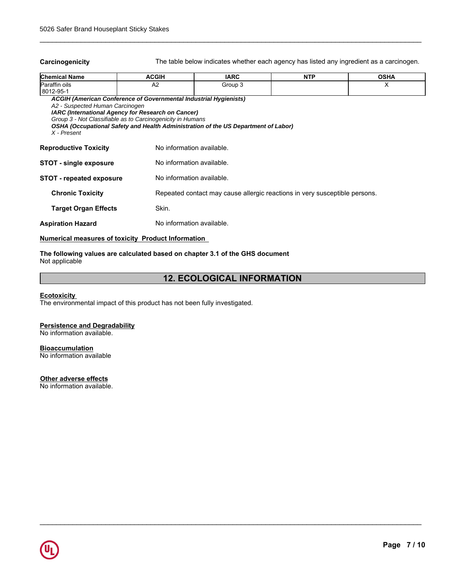**Carcinogenicity** The table below indicates whether each agency has listed any ingredient as a carcinogen.

\_\_\_\_\_\_\_\_\_\_\_\_\_\_\_\_\_\_\_\_\_\_\_\_\_\_\_\_\_\_\_\_\_\_\_\_\_\_\_\_\_\_\_\_\_\_\_\_\_\_\_\_\_\_\_\_\_\_\_\_\_\_\_\_\_\_\_\_\_\_\_\_\_\_\_\_\_\_\_\_\_\_\_\_\_\_\_\_\_\_\_\_\_

| <b>Chemical Name</b>                                        | <b>ACGIH</b>                                                                                                                                                                          | <b>IARC</b>                                                                        | <b>NTP</b> | <b>OSHA</b> |  |  |
|-------------------------------------------------------------|---------------------------------------------------------------------------------------------------------------------------------------------------------------------------------------|------------------------------------------------------------------------------------|------------|-------------|--|--|
| Paraffin oils                                               | A <sub>2</sub>                                                                                                                                                                        | Group 3                                                                            |            | X           |  |  |
| 8012-95-1<br>A2 - Suspected Human Carcinogen<br>X - Present | ACGIH (American Conference of Governmental Industrial Hygienists)<br>IARC (International Agency for Research on Cancer)<br>Group 3 - Not Classifiable as to Carcinogenicity in Humans | OSHA (Occupational Safety and Health Administration of the US Department of Labor) |            |             |  |  |
| <b>Reproductive Toxicity</b>                                |                                                                                                                                                                                       | No information available.                                                          |            |             |  |  |
| <b>STOT - single exposure</b>                               |                                                                                                                                                                                       | No information available.                                                          |            |             |  |  |
| <b>STOT</b> - repeated exposure                             |                                                                                                                                                                                       | No information available.                                                          |            |             |  |  |
| <b>Chronic Toxicity</b>                                     | Repeated contact may cause allergic reactions in very susceptible persons.                                                                                                            |                                                                                    |            |             |  |  |
| <b>Target Organ Effects</b>                                 | Skin.                                                                                                                                                                                 |                                                                                    |            |             |  |  |
| <b>Aspiration Hazard</b>                                    |                                                                                                                                                                                       | No information available.                                                          |            |             |  |  |
|                                                             |                                                                                                                                                                                       |                                                                                    |            |             |  |  |

### **Numerical measures of toxicity Product Information**

### **The following values are calculated based on chapter 3.1 of the GHS document** Not applicable

# **12. ECOLOGICAL INFORMATION**

\_\_\_\_\_\_\_\_\_\_\_\_\_\_\_\_\_\_\_\_\_\_\_\_\_\_\_\_\_\_\_\_\_\_\_\_\_\_\_\_\_\_\_\_\_\_\_\_\_\_\_\_\_\_\_\_\_\_\_\_\_\_\_\_\_\_\_\_\_\_\_\_\_\_\_\_\_\_\_\_\_\_\_\_\_\_\_\_\_\_\_\_\_

# **Ecotoxicity**

The environmental impact of this product has not been fully investigated.

### **Persistence and Degradability**

No information available.

### **Bioaccumulation**

No information available

## **Other adverse effects**

No information available.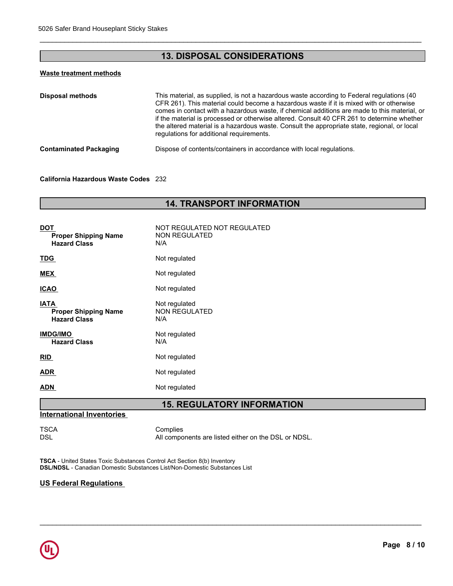# **13. DISPOSAL CONSIDERATIONS**

\_\_\_\_\_\_\_\_\_\_\_\_\_\_\_\_\_\_\_\_\_\_\_\_\_\_\_\_\_\_\_\_\_\_\_\_\_\_\_\_\_\_\_\_\_\_\_\_\_\_\_\_\_\_\_\_\_\_\_\_\_\_\_\_\_\_\_\_\_\_\_\_\_\_\_\_\_\_\_\_\_\_\_\_\_\_\_\_\_\_\_\_\_

# **Waste treatment methods**

| This material, as supplied, is not a hazardous waste according to Federal regulations (40<br>CFR 261). This material could become a hazardous waste if it is mixed with or otherwise<br>comes in contact with a hazardous waste, if chemical additions are made to this material, or<br>if the material is processed or otherwise altered. Consult 40 CFR 261 to determine whether<br>the altered material is a hazardous waste. Consult the appropriate state, regional, or local<br>regulations for additional requirements. |
|--------------------------------------------------------------------------------------------------------------------------------------------------------------------------------------------------------------------------------------------------------------------------------------------------------------------------------------------------------------------------------------------------------------------------------------------------------------------------------------------------------------------------------|
| Dispose of contents/containers in accordance with local regulations.                                                                                                                                                                                                                                                                                                                                                                                                                                                           |
|                                                                                                                                                                                                                                                                                                                                                                                                                                                                                                                                |

### **California Hazardous Waste Codes** 232

# **14. TRANSPORT INFORMATION**

| <b>DOT</b><br><b>Proper Shipping Name</b><br><b>Hazard Class</b>  | NOT REGULATED NOT REGULATED<br><b>NON REGULATED</b><br>N/A |
|-------------------------------------------------------------------|------------------------------------------------------------|
| <b>TDG</b>                                                        | Not regulated                                              |
| <b>MEX</b>                                                        | Not regulated                                              |
| <b>ICAO</b>                                                       | Not regulated                                              |
| <b>IATA</b><br><b>Proper Shipping Name</b><br><b>Hazard Class</b> | Not regulated<br><b>NON REGULATED</b><br>N/A               |
| <b>IMDG/IMO</b><br><b>Hazard Class</b>                            | Not regulated<br>N/A                                       |
| <b>RID</b>                                                        | Not regulated                                              |
| <b>ADR</b>                                                        | Not regulated                                              |
| <b>ADN</b>                                                        | Not regulated                                              |
|                                                                   |                                                            |

# **15. REGULATORY INFORMATION**

\_\_\_\_\_\_\_\_\_\_\_\_\_\_\_\_\_\_\_\_\_\_\_\_\_\_\_\_\_\_\_\_\_\_\_\_\_\_\_\_\_\_\_\_\_\_\_\_\_\_\_\_\_\_\_\_\_\_\_\_\_\_\_\_\_\_\_\_\_\_\_\_\_\_\_\_\_\_\_\_\_\_\_\_\_\_\_\_\_\_\_\_\_

### **International Inventories**

TSCA Complies<br>DSL All compo All components are listed either on the DSL or NDSL.

**TSCA** - United States Toxic Substances Control Act Section 8(b) Inventory **DSL/NDSL** - Canadian Domestic Substances List/Non-Domestic Substances List

### **US Federal Regulations**

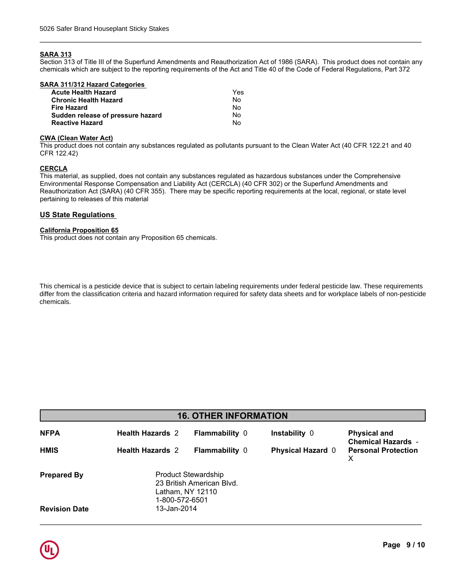### **SARA 313**

Section 313 of Title III of the Superfund Amendments and Reauthorization Act of 1986 (SARA). This product does not contain any chemicals which are subject to the reporting requirements of the Act and Title 40 of the Code of Federal Regulations, Part 372

\_\_\_\_\_\_\_\_\_\_\_\_\_\_\_\_\_\_\_\_\_\_\_\_\_\_\_\_\_\_\_\_\_\_\_\_\_\_\_\_\_\_\_\_\_\_\_\_\_\_\_\_\_\_\_\_\_\_\_\_\_\_\_\_\_\_\_\_\_\_\_\_\_\_\_\_\_\_\_\_\_\_\_\_\_\_\_\_\_\_\_\_\_

| SARA 311/312 Hazard Categories    |     |  |
|-----------------------------------|-----|--|
| <b>Acute Health Hazard</b>        | Yes |  |
| <b>Chronic Health Hazard</b>      | Nο  |  |
| <b>Fire Hazard</b>                | No  |  |
| Sudden release of pressure hazard | No  |  |
| <b>Reactive Hazard</b>            | No  |  |
|                                   |     |  |

### **CWA (Clean Water Act)**

This product does not contain any substances regulated as pollutants pursuant to the Clean Water Act (40 CFR 122.21 and 40 CFR 122.42)

### **CERCLA**

This material, as supplied, does not contain any substances regulated as hazardous substances under the Comprehensive Environmental Response Compensation and Liability Act (CERCLA) (40 CFR 302) or the Superfund Amendments and Reauthorization Act (SARA) (40 CFR 355). There may be specific reporting requirements at the local, regional, or state level pertaining to releases of this material

### **US State Regulations**

### **California Proposition 65**

This product does not contain any Proposition 65 chemicals.

**chemical Namerical Namerical Namerical Namerical Strates Interest Interest Inc.**<br>Contain any Proposition 65 chemicals.<br>Pesticide device that is subject to certain labeling requirements under federal pesticide law. These r .<br>Pation criteria and hazard info batter britisha and nazard linen differ from the classification criteria and hazard information required for safety data sheets and for workplace labels of non-pesticide This chemical is a pesticide device that is subject to certain labeling requirements under federal pesticide law. These requirements chemicals.

| <b>16. OTHER INFORMATION</b> |                                                                                               |                       |                          |                                                  |  |
|------------------------------|-----------------------------------------------------------------------------------------------|-----------------------|--------------------------|--------------------------------------------------|--|
| <b>NFPA</b>                  | <b>Health Hazards 2</b>                                                                       | <b>Flammability 0</b> | Instability 0            | <b>Physical and</b><br><b>Chemical Hazards -</b> |  |
| <b>HMIS</b>                  | <b>Health Hazards 2</b>                                                                       | <b>Flammability 0</b> | <b>Physical Hazard 0</b> | <b>Personal Protection</b><br>х                  |  |
| <b>Prepared By</b>           | <b>Product Stewardship</b><br>23 British American Blvd.<br>Latham, NY 12110<br>1-800-572-6501 |                       |                          |                                                  |  |
| <b>Revision Date</b>         | 13-Jan-2014                                                                                   |                       |                          |                                                  |  |